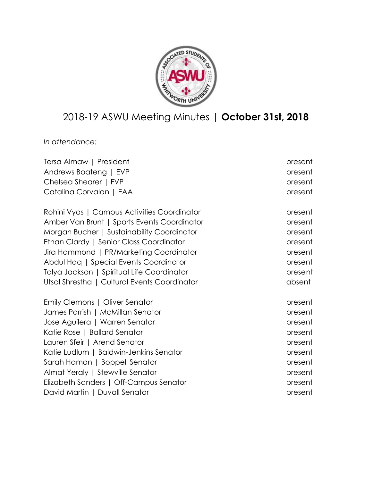

# 2018-19 ASWU Meeting Minutes | **October 31st, 2018**

*In attendance:*

| Tersa Almaw   President                      | present |
|----------------------------------------------|---------|
| Andrews Boateng   EVP                        | present |
| Chelsea Shearer   FVP                        | present |
| Catalina Corvalan   EAA                      | present |
| Rohini Vyas   Campus Activities Coordinator  | present |
| Amber Van Brunt   Sports Events Coordinator  | present |
| Morgan Bucher   Sustainability Coordinator   | present |
| Ethan Clardy   Senior Class Coordinator      | present |
| Jira Hammond   PR/Marketing Coordinator      | present |
| Abdul Haq   Special Events Coordinator       | present |
| Talya Jackson   Spiritual Life Coordinator   | present |
| Utsal Shrestha   Cultural Events Coordinator | absent  |
| Emily Clemons   Oliver Senator               | present |
| James Parrish   McMillan Senator             | present |
| Jose Aguilera   Warren Senator               | present |
| Katie Rose   Ballard Senator                 | present |
| Lauren Sfeir   Arend Senator                 | present |
| Katie Ludlum   Baldwin-Jenkins Senator       | present |
| Sarah Haman   Boppell Senator                | present |
| Almat Yeraly   Stewville Senator             | present |
| Elizabeth Sanders   Off-Campus Senator       | present |
| David Martin   Duvall Senator                | present |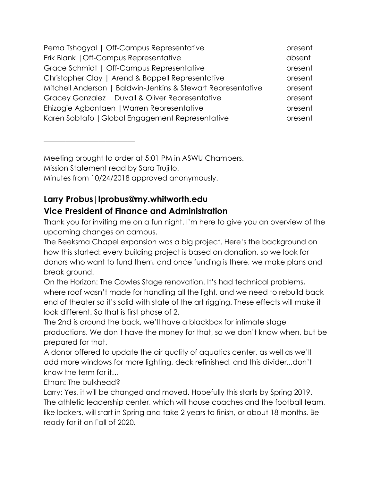| Pema Tshogyal   Off-Campus Representative                    | present |
|--------------------------------------------------------------|---------|
| Erik Blank   Off-Campus Representative                       | absent  |
| Grace Schmidt   Off-Campus Representative                    | present |
| Christopher Clay   Arend & Boppell Representative            | present |
| Mitchell Anderson   Baldwin-Jenkins & Stewart Representative | present |
| Gracey Gonzalez   Duvall & Oliver Representative             | present |
| Ehizogie Agbontaen   Warren Representative                   | present |
| Karen Sobtafo   Global Engagement Representative             | present |

Meeting brought to order at 5:01 PM in ASWU Chambers. Mission Statement read by Sara Trujillo. Minutes from 10/24/2018 approved anonymously.

# **Larry Probus|lprobus@my.whitworth.edu Vice President of Finance and Administration**

Thank you for inviting me on a fun night. I'm here to give you an overview of the upcoming changes on campus.

The Beeksma Chapel expansion was a big project. Here's the background on how this started: every building project is based on donation, so we look for donors who want to fund them, and once funding is there, we make plans and break ground.

On the Horizon: The Cowles Stage renovation. It's had technical problems, where roof wasn't made for handling all the light, and we need to rebuild back end of theater so it's solid with state of the art rigging. These effects will make it look different. So that is first phase of 2.

The 2nd is around the back, we'll have a blackbox for intimate stage productions. We don't have the money for that, so we don't know when, but be prepared for that.

A donor offered to update the air quality of aquatics center, as well as we'll add more windows for more lighting, deck refinished, and this divider...don't know the term for it…

Ethan: The bulkhead?

 $\overline{\phantom{a}}$  , where  $\overline{\phantom{a}}$  , where  $\overline{\phantom{a}}$  , where  $\overline{\phantom{a}}$  , where  $\overline{\phantom{a}}$ 

Larry: Yes, it will be changed and moved. Hopefully this starts by Spring 2019. The athletic leadership center, which will house coaches and the football team, like lockers, will start in Spring and take 2 years to finish, or about 18 months. Be ready for it on Fall of 2020.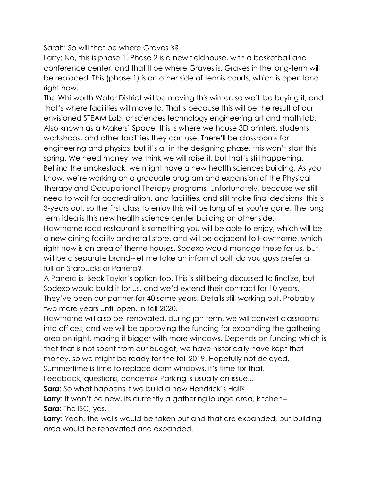Sarah: So will that be where Graves is?

Larry: No, this is phase 1. Phase 2 is a new fieldhouse, with a basketball and conference center, and that'll be where Graves is. Graves in the long-term will be replaced. This (phase 1) is on other side of tennis courts, which is open land right now.

The Whitworth Water District will be moving this winter, so we'll be buying it, and that's where facilities will move to. That's because this will be the result of our envisioned STEAM Lab, or sciences technology engineering art and math lab. Also known as a Makers' Space, this is where we house 3D printers, students workshops, and other facilities they can use. There'll be classrooms for engineering and physics, but it's all in the designing phase, this won't start this spring. We need money, we think we will raise it, but that's still happening. Behind the smokestack, we might have a new health sciences building. As you know, we're working on a graduate program and expansion of the Physical Therapy and Occupational Therapy programs, unfortunately, because we still need to wait for accreditation, and facilities, and still make final decisions, this is 3-years out, so the first class to enjoy this will be long after you're gone. The long term idea is this new health science center building on other side.

Hawthorne road restaurant is something you will be able to enjoy, which will be a new dining facility and retail store, and will be adjacent to Hawthorne, which right now is an area of theme houses. Sodexo would manage these for us, but will be a separate brand--let me take an informal poll, do you guys prefer a full-on Starbucks or Panera?

A Panera is Beck Taylor's option too. This is still being discussed to finalize, but Sodexo would build it for us. and we'd extend their contract for 10 years. They've been our partner for 40 some years. Details still working out. Probably two more years until open, in fall 2020.

Hawthorne will also be renovated, during jan term, we will convert classrooms into offices, and we will be approving the funding for expanding the gathering area on right, making it bigger with more windows. Depends on funding which is that that is not spent from our budget, we have historically have kept that money, so we might be ready for the fall 2019. Hopefully not delayed.

Summertime is time to replace dorm windows, it's time for that.

Feedback, questions, concerns? Parking is usually an issue...

**Sara**: So what happens if we build a new Hendrick's Hall?

**Larry:** It won't be new, its currently a gathering lounge area, kitchen--**Sara**: The ISC, yes.

**Larry**: Yeah, the walls would be taken out and that are expanded, but building area would be renovated and expanded.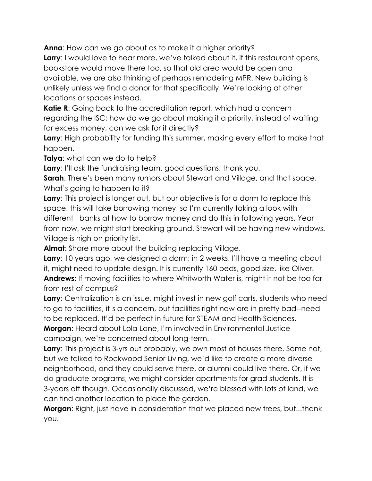**Anna**: How can we go about as to make it a higher priority? **Larry**: I would love to hear more, we've talked about it, if this restaurant opens, bookstore would move there too, so that old area would be open ana available, we are also thinking of perhaps remodeling MPR. New building is unlikely unless we find a donor for that specifically. We're looking at other locations or spaces instead.

**Katie R:** Going back to the accreditation report, which had a concern regarding the ISC; how do we go about making it a priority, instead of waiting for excess money, can we ask for it directly?

**Larry**: High probability for funding this summer, making every effort to make that happen.

**Talya**: what can we do to help?

**Larry**: I'll ask the fundraising team, good questions, thank you.

**Sarah:** There's been many rumors about Stewart and Village, and that space. What's going to happen to it?

**Larry**: This project is longer out, but our objective is for a dorm to replace this space, this will take borrowing money, so I'm currently taking a look with different banks at how to borrow money and do this in following years. Year from now, we might start breaking ground. Stewart will be having new windows. Village is high on priority list.

**Almat**: Share more about the building replacing Village.

**Larry**: 10 years ago, we designed a dorm; in 2 weeks, I'll have a meeting about it, might need to update design. It is currently 160 beds, good size, like Oliver. **Andrews**: If moving facilities to where Whitworth Water is, might it not be too far from rest of campus?

**Larry**: Centralization is an issue, might invest in new golf carts, students who need to go to facilities, it's a concern, but facilities right now are in pretty bad--need to be replaced. It'd be perfect in future for STEAM and Health Sciences.

**Morgan**: Heard about Lola Lane, I'm involved in Environmental Justice campaign, we're concerned about long-term.

**Larry**: This project is 3-yrs out probably, we own most of houses there. Some not, but we talked to Rockwood Senior Living, we'd like to create a more diverse neighborhood, and they could serve there, or alumni could live there. Or, if we do graduate programs, we might consider apartments for grad students. It is 3-years off though. Occasionally discussed, we're blessed with lots of land, we can find another location to place the garden.

**Morgan**: Right, just have in consideration that we placed new trees, but...thank you.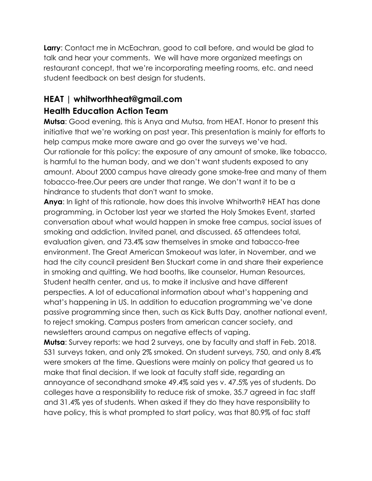**Larry**: Contact me in McEachran, good to call before, and would be glad to talk and hear your comments. We will have more organized meetings on restaurant concept, that we're incorporating meeting rooms, etc. and need student feedback on best design for students.

# **HEAT | whitworthheat@gmail.com Health Education Action Team**

**Mutsa**: Good evening, this is Anya and Mutsa, from HEAT. Honor to present this initiative that we're working on past year. This presentation is mainly for efforts to help campus make more aware and go over the surveys we've had. Our rationale for this policy: the exposure of any amount of smoke, like tobacco, is harmful to the human body, and we don't want students exposed to any amount. About 2000 campus have already gone smoke-free and many of them tobacco-free.Our peers are under that range. We don't want it to be a hindrance to students that don't want to smoke.

**Anya**: In light of this rationale, how does this involve Whitworth? HEAT has done programming, in October last year we started the Holy Smokes Event, started conversation about what would happen in smoke free campus, social issues of smoking and addiction. Invited panel, and discussed. 65 attendees total, evaluation given, and 73.4% saw themselves in smoke and tabacco-free environment. The Great American Smokeout was later, in November, and we had the city council president Ben Stuckart come in and share their experience in smoking and quitting. We had booths, like counselor, Human Resources, Student health center, and us, to make it inclusive and have different perspecties. A lot of educational information about what's happening and what's happening in US. In addition to education programming we've done passive programming since then, such as Kick Butts Day, another national event, to reject smoking. Campus posters from american cancer society, and newsletters around campus on negative effects of vaping.

**Mutsa**: Survey reports: we had 2 surveys, one by faculty and staff in Feb. 2018. 531 surveys taken, and only 2% smoked. On student surveys, 750, and only 8.4% were smokers at the time. Questions were mainly on policy that geared us to make that final decision. If we look at faculty staff side, regarding an annoyance of secondhand smoke 49.4% said yes v. 47.5% yes of students. Do colleges have a responsibility to reduce risk of smoke, 35.7 agreed in fac staff and 31.4% yes of students. When asked if they do they have responsibility to have policy, this is what prompted to start policy, was that 80.9% of fac staff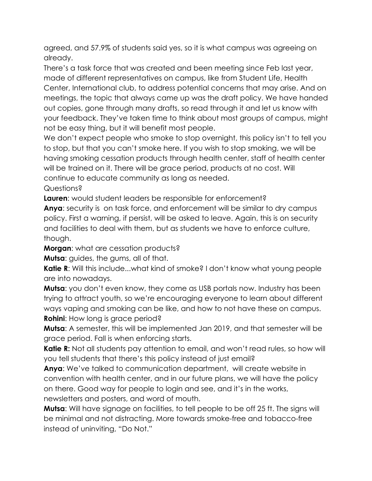agreed, and 57.9% of students said yes, so it is what campus was agreeing on already.

There's a task force that was created and been meeting since Feb last year, made of different representatives on campus, like from Student Life, Health Center, International club, to address potential concerns that may arise. And on meetings, the topic that always came up was the draft policy. We have handed out copies, gone through many drafts, so read through it and let us know with your feedback. They've taken time to think about most groups of campus, might not be easy thing, but it will benefit most people.

We don't expect people who smoke to stop overnight, this policy isn't to tell you to stop, but that you can't smoke here. If you wish to stop smoking, we will be having smoking cessation products through health center, staff of health center will be trained on it. There will be grace period, products at no cost. Will continue to educate community as long as needed.

Questions?

**Lauren**: would student leaders be responsible for enforcement?

**Anya**: security is on task force, and enforcement will be similar to dry campus policy. First a warning, if persist, will be asked to leave. Again, this is on security and facilities to deal with them, but as students we have to enforce culture, though.

**Morgan**: what are cessation products?

**Mutsa**: guides, the gums, all of that.

**Katie R**: Will this include...what kind of smoke? I don't know what young people are into nowadays.

**Mutsa**: you don't even know, they come as USB portals now. Industry has been trying to attract youth, so we're encouraging everyone to learn about different ways vaping and smoking can be like, and how to not have these on campus. **Rohini**: How long is grace period?

**Mutsa**: A semester, this will be implemented Jan 2019, and that semester will be grace period. Fall is when enforcing starts.

**Katie R:** Not all students pay attention to email, and won't read rules, so how will you tell students that there's this policy instead of just email?

**Anya**: We've talked to communication department, will create website in convention with health center, and in our future plans, we will have the policy on there. Good way for people to login and see, and it's in the works, newsletters and posters, and word of mouth.

**Mutsa**: Will have signage on facilities, to tell people to be off 25 ft. The signs will be minimal and not distracting. More towards smoke-free and tobacco-free instead of uninviting, "Do Not."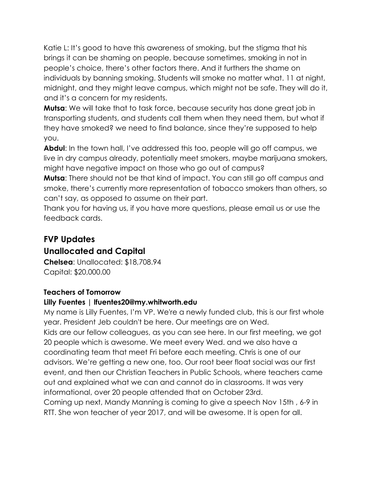Katie L: It's good to have this awareness of smoking, but the stigma that his brings it can be shaming on people, because sometimes, smoking in not in people's choice, there's other factors there. And it furthers the shame on individuals by banning smoking. Students will smoke no matter what. 11 at night, midnight, and they might leave campus, which might not be safe. They will do it, and it's a concern for my residents.

**Mutsa**: We will take that to task force, because security has done great job in transporting students, and students call them when they need them, but what if they have smoked? we need to find balance, since they're supposed to help you.

**Abdul**: In the town hall, I've addressed this too, people will go off campus, we live in dry campus already, potentially meet smokers, maybe marijuana smokers, might have negative impact on those who go out of campus?

**Mutsa**: There should not be that kind of impact. You can still go off campus and smoke, there's currently more representation of tobacco smokers than others, so can't say, as opposed to assume on their part.

Thank you for having us, if you have more questions, please email us or use the feedback cards.

# **FVP Updates Unallocated and Capital**

**Chelsea**: Unallocated: \$18,708.94 Capital: \$20,000.00

#### **Teachers of Tomorrow**

#### **Lilly Fuentes | lfuentes20@my.whitworth.edu**

My name is Lilly Fuentes, I'm VP. We're a newly funded club, this is our first whole year. President Jeb couldn't be here. Our meetings are on Wed. Kids are our fellow colleagues, as you can see here. In our first meeting, we got 20 people which is awesome. We meet every Wed. and we also have a coordinating team that meet Fri before each meeting. Chris is one of our advisors. We're getting a new one, too. Our root beer float social was our first event, and then our Christian Teachers in Public Schools, where teachers came out and explained what we can and cannot do in classrooms. It was very informational, over 20 people attended that on October 23rd. Coming up next, Mandy Manning is coming to give a speech Nov 15th , 6-9 in RTT. She won teacher of year 2017, and will be awesome. It is open for all.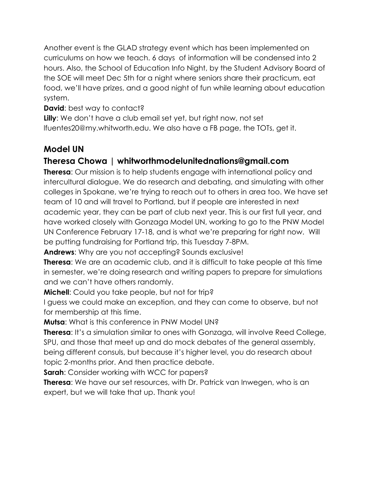Another event is the GLAD strategy event which has been implemented on curriculums on how we teach. 6 days of information will be condensed into 2 hours. Also, the School of Education Info Night, by the Student Advisory Board of the SOE will meet Dec 5th for a night where seniors share their practicum, eat food, we'll have prizes, and a good night of fun while learning about education system.

**David:** best way to contact?

**Lilly**: We don't have a club email set yet, but right now, not set lfuentes20@my.whitworth.edu. We also have a FB page, the TOTs, get it.

### **Model UN**

### **Theresa Chowa | whitworthmodelunitednations@gmail.com**

**Theresa**: Our mission is to help students engage with international policy and intercultural dialogue. We do research and debating, and simulating with other colleges in Spokane, we're trying to reach out to others in area too. We have set team of 10 and will travel to Portland, but if people are interested in next academic year, they can be part of club next year. This is our first full year, and have worked closely with Gonzaga Model UN, working to go to the PNW Model UN Conference February 17-18, and is what we're preparing for right now. Will be putting fundraising for Portland trip, this Tuesday 7-8PM.

**Andrews**: Why are you not accepting? Sounds exclusive!

**Theresa**: We are an academic club, and it is difficult to take people at this time in semester, we're doing research and writing papers to prepare for simulations and we can't have others randomly.

**Michell**: Could you take people, but not for trip?

I guess we could make an exception, and they can come to observe, but not for membership at this time.

**Mutsa**: What is this conference in PNW Model UN?

**Theresa**: It's a simulation similar to ones with Gonzaga, will involve Reed College, SPU, and those that meet up and do mock debates of the general assembly, being different consuls, but because it's higher level, you do research about topic 2-months prior. And then practice debate.

**Sarah**: Consider working with WCC for papers?

**Theresa**: We have our set resources, with Dr. Patrick van Inwegen, who is an expert, but we will take that up. Thank you!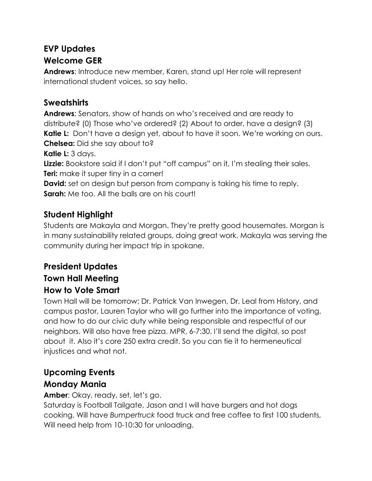# **EVP Updates Welcome GER**

**Andrews**: Introduce new member, Karen, stand up! Her role will represent international student voices, so say hello.

### **Sweatshirts**

**Andrews**: Senators, show of hands on who's received and are ready to distribute? (0) Those who've ordered? (2) About to order, have a design? (3) **Katie L:** Don't have a design yet, about to have it soon. We're working on ours. **Chelsea:** Did she say about to? **Katie L:** 3 days.

Lizzie: Bookstore said if I don't put "off campus" on it, I'm stealing their sales. **Teri:** make it super tiny in a corner!

**David:** set on design but person from company is taking his time to reply. **Sarah:** Me too. All the balls are on his court!

# **Student Highlight**

Students are Makayla and Morgan. They're pretty good housemates. Morgan is in many sustainability related groups, doing great work. Makayla was serving the community during her impact trip in spokane.

# **President Updates Town Hall Meeting How to Vote Smart**

Town Hall will be tomorrow; Dr. Patrick Van Inwegen, Dr. Leal from History, and campus pastor, Lauren Taylor who will go further into the importance of voting, and how to do our civic duty while being responsible and respectful of our neighbors. Will also have free pizza. MPR, 6-7:30. I'll send the digital, so post about it. Also it's core 250 extra credit. So you can tie it to hermeneutical injustices and what not.

# **Upcoming Events**

### **Monday Mania**

**Amber**: Okay, ready, set, let's go.

Saturday is Football Tailgate, Jason and I will have burgers and hot dogs cooking, Will have *Bumpertruck* food truck and free coffee to first 100 students, Will need help from 10-10:30 for unloading.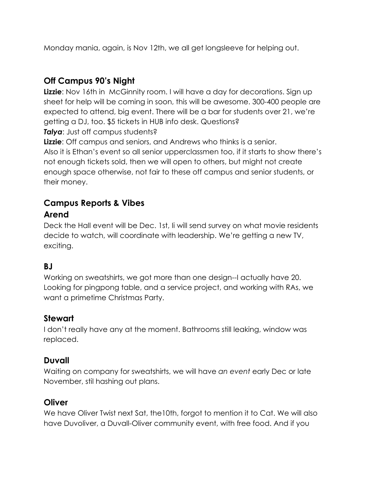Monday mania, again, is Nov 12th, we all get longsleeve for helping out.

### **Off Campus 90's Night**

**Lizzie**: Nov 16th in McGinnity room. I will have a day for decorations. Sign up sheet for help will be coming in soon, this will be awesome. 300-400 people are expected to attend, big event. There will be a bar for students over 21, we're getting a DJ, too. \$5 tickets in HUB info desk. Questions? **Talya**: Just off campus students?

**Lizzie**: Off campus and seniors, and Andrews who thinks is a senior. Also it is Ethan's event so all senior upperclassmen too, if it starts to show there's not enough tickets sold, then we will open to others, but might not create enough space otherwise, not fair to these off campus and senior students, or their money.

# **Campus Reports & Vibes Arend**

Deck the Hall event will be Dec. 1st, Ii will send survey on what movie residents decide to watch, will coordinate with leadership. We're getting a new TV, exciting.

### **BJ**

Working on sweatshirts, we got more than one design--I actually have 20. Looking for pingpong table, and a service project, and working with RAs, we want a primetime Christmas Party.

#### **Stewart**

I don't really have any at the moment. Bathrooms still leaking, window was replaced.

#### **Duvall**

Waiting on company for sweatshirts, we will have *an event* early Dec or late November, stil hashing out plans.

#### **Oliver**

We have Oliver Twist next Sat, the10th, forgot to mention it to Cat. We will also have Duvoliver, a Duvall-Oliver community event, with free food. And if you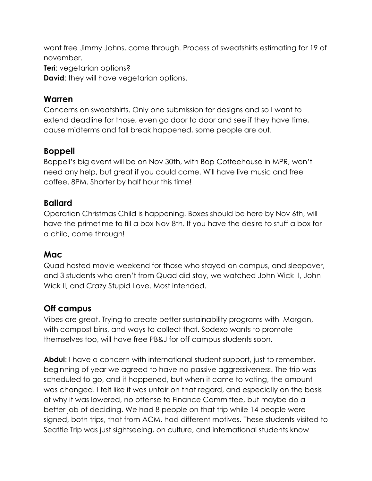want free Jimmy Johns, come through. Process of sweatshirts estimating for 19 of november.

**Teri**: vegetarian options?

**David:** they will have vegetarian options.

#### **Warren**

Concerns on sweatshirts. Only one submission for designs and so I want to extend deadline for those, even go door to door and see if they have time, cause midterms and fall break happened, some people are out.

### **Boppell**

Boppell's big event will be on Nov 30th, with Bop Coffeehouse in MPR, won't need any help, but great if you could come. Will have live music and free coffee. 8PM. Shorter by half hour this time!

#### **Ballard**

Operation Christmas Child is happening. Boxes should be here by Nov 6th, will have the primetime to fill a box Nov 8th. If you have the desire to stuff a box for a child, come through!

### **Mac**

Quad hosted movie weekend for those who stayed on campus, and sleepover, and 3 students who aren't from Quad did stay, we watched John Wick I, John Wick II, and Crazy Stupid Love. Most intended.

### **Off campus**

Vibes are great. Trying to create better sustainability programs with Morgan, with compost bins, and ways to collect that. Sodexo wants to promote themselves too, will have free PB&J for off campus students soon.

**Abdul**: I have a concern with international student support, just to remember, beginning of year we agreed to have no passive aggressiveness. The trip was scheduled to go, and it happened, but when it came to voting, the amount was changed. I felt like it was unfair on that regard, and especially on the basis of why it was lowered, no offense to Finance Committee, but maybe do a better job of deciding. We had 8 people on that trip while 14 people were signed, both trips, that from ACM, had different motives. These students visited to Seattle Trip was just sightseeing, on culture, and international students know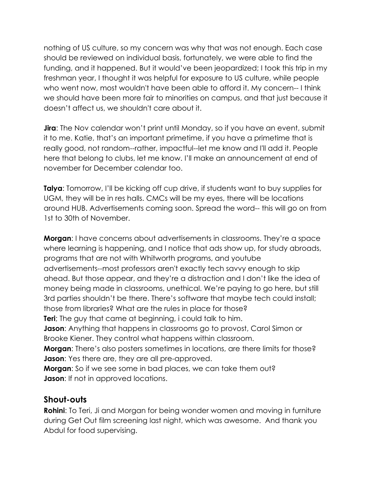nothing of US culture, so my concern was why that was not enough. Each case should be reviewed on individual basis, fortunately, we were able to find the funding, and it happened. But it would've been jeopardized; I took this trip in my freshman year, I thought it was helpful for exposure to US culture, while people who went now, most wouldn't have been able to afford it. My concern-- I think we should have been more fair to minorities on campus, and that just because it doesn't affect us, we shouldn't care about it.

**Jira**: The Nov calendar won't print until Monday, so if you have an event, submit it to me. Katie, that's an important primetime, if you have a primetime that is really good, not random--rather, impactful--let me know and I'll add it. People here that belong to clubs, let me know. I'll make an announcement at end of november for December calendar too.

**Talya**: Tomorrow, I'll be kicking off cup drive, if students want to buy supplies for UGM, they will be in res halls. CMCs will be my eyes, there will be locations around HUB. Advertisements coming soon. Spread the word-- this will go on from 1st to 30th of November.

**Morgan**: I have concerns about advertisements in classrooms. They're a space where learning is happening, and I notice that ads show up, for study abroads, programs that are not with Whitworth programs, and youtube advertisements--most professors aren't exactly tech savvy enough to skip ahead. But those appear, and they're a distraction and I don't like the idea of money being made in classrooms, unethical. We're paying to go here, but still 3rd parties shouldn't be there. There's software that maybe tech could install; those from libraries? What are the rules in place for those?

**Teri**; The guy that came at beginning, i could talk to him.

**Jason:** Anything that happens in classrooms go to provost, Carol Simon or Brooke Kiener. They control what happens within classroom.

**Morgan:** There's also posters sometimes in locations, are there limits for those? **Jason:** Yes there are, they are all pre-approved.

**Morgan**: So if we see some in bad places, we can take them out? **Jason:** If not in approved locations.

#### **Shout-outs**

**Rohini**: To Teri, Ji and Morgan for being wonder women and moving in furniture during Get Out film screening last night, which was awesome. And thank you Abdul for food supervising.